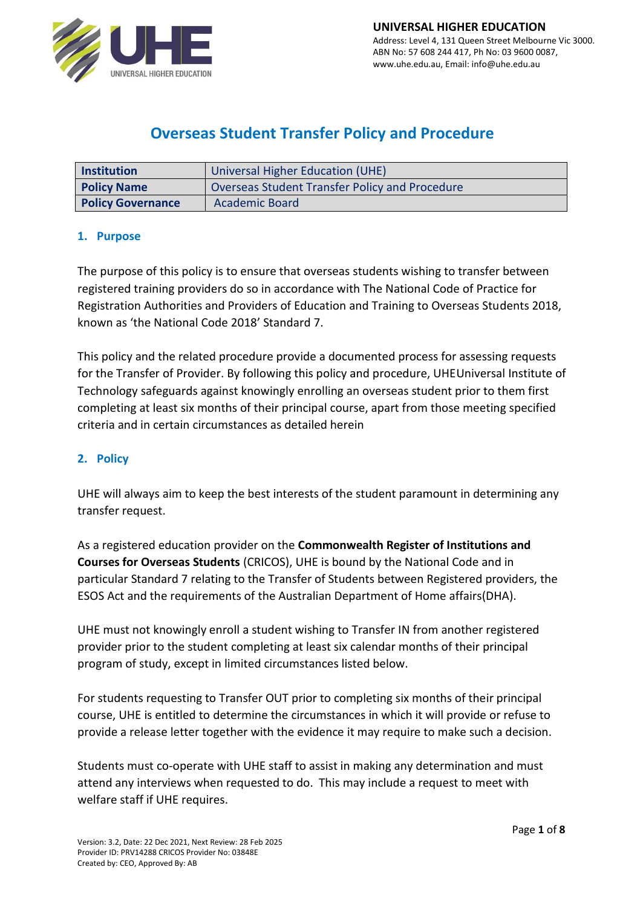

# **Overseas Student Transfer Policy and Procedure**

| Institution              | Universal Higher Education (UHE)                      |
|--------------------------|-------------------------------------------------------|
| <b>Policy Name</b>       | <b>Overseas Student Transfer Policy and Procedure</b> |
| <b>Policy Governance</b> | Academic Board                                        |

# **1. Purpose**

Registration Authorities and Providers of Education and Training to Overseas Students 2018, The purpose of this policy is to ensure that overseas students wishing to transfer between registered training providers do so in accordance with The National Code of Practice for known as 'the National Code 2018' Standard 7.

This policy and the related procedure provide a documented process for assessing requests for the Transfer of Provider. By following this policy and procedure, UHEUniversal Institute of Technology safeguards against knowingly enrolling an overseas student prior to them first completing at least six months of their principal course, apart from those meeting specified criteria and in certain circumstances as detailed herein

# **2. Policy**

UHE will always aim to keep the best interests of the student paramount in determining any transfer request.

As a registered education provider on the **Commonwealth Register of Institutions and Courses for Overseas Students** (CRICOS), UHE is bound by the National Code and in particular Standard 7 relating to the Transfer of Students between Registered providers, the ESOS Act and the requirements of the Australian Department of Home affairs(DHA).

UHE must not knowingly enroll a student wishing to Transfer IN from another registered provider prior to the student completing at least six calendar months of their principal program of study, except in limited circumstances listed below.

For students requesting to Transfer OUT prior to completing six months of their principal course, UHE is entitled to determine the circumstances in which it will provide or refuse to provide a release letter together with the evidence it may require to make such a decision.

Students must co-operate with UHE staff to assist in making any determination and must attend any interviews when requested to do. This may include a request to meet with welfare staff if UHE requires.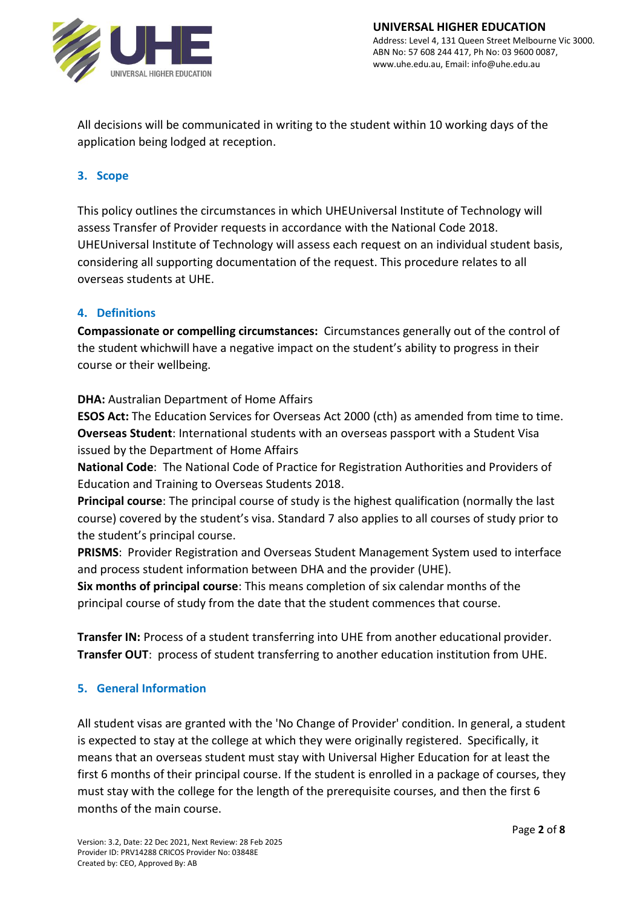

All decisions will be communicated in writing to the student within 10 working days of the application being lodged at reception.

# **3. Scope**

This policy outlines the circumstances in which UHEUniversal Institute of Technology will assess Transfer of Provider requests in accordance with the National Code 2018. UHEUniversal Institute of Technology will assess each request on an individual student basis, considering all supporting documentation of the request. This procedure relates to all overseas students at UHE.

# **4. Definitions**

**Compassionate or compelling circumstances:** Circumstances generally out of the control of the student whichwill have a negative impact on the student's ability to progress in their course or their wellbeing.

### **DHA:** Australian Department of Home Affairs

**ESOS Act:** The Education Services for Overseas Act 2000 (cth) as amended from time to time. **Overseas Student**: International students with an overseas passport with a Student Visa issued by the Department of Home Affairs

**National Code**: The National Code of Practice for Registration Authorities and Providers of Education and Training to Overseas Students 2018.

**Principal course**: The principal course of study is the highest qualification (normally the last course) covered by the student's visa. Standard 7 also applies to all courses of study prior to the student's principal course.

**PRISMS**: Provider Registration and Overseas Student Management System used to interface and process student information between DHA and the provider (UHE).

**Six months of principal course**: This means completion of six calendar months of the principal course of study from the date that the student commences that course.

**Transfer IN:** Process of a student transferring into UHE from another educational provider. **Transfer OUT**: process of student transferring to another education institution from UHE.

# **5. General Information**

All student visas are granted with the 'No Change of Provider' condition. In general, a student is expected to stay at the college at which they were originally registered. Specifically, it means that an overseas student must stay with Universal Higher Education for at least the first 6 months of their principal course. If the student is enrolled in a package of courses, they must stay with the college for the length of the prerequisite courses, and then the first 6 months of the main course.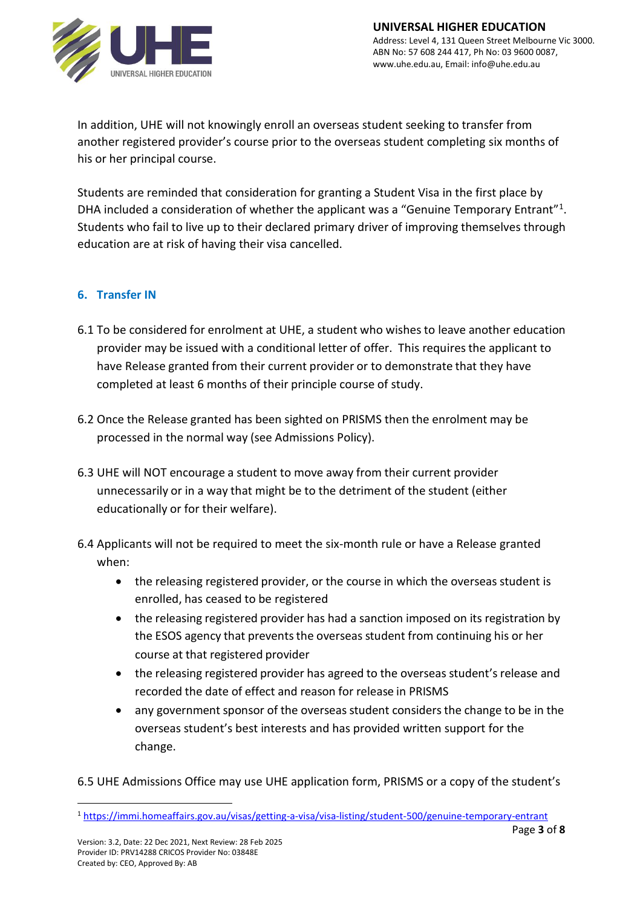

In addition, UHE will not knowingly enroll an overseas student seeking to transfer from another registered provider's course prior to the overseas student completing six months of his or her principal course.

Students are reminded that consideration for granting a Student Visa in the first place by DHA included a consideration of whether the applicant was a "Genuine Temporary Entrant"<sup>1</sup>. Students who fail to live up to their declared primary driver of improving themselves through education are at risk of having their visa cancelled.

# **6. Transfer IN**

- 6.1 To be considered for enrolment at UHE, a student who wishes to leave another education provider may be issued with a conditional letter of offer. This requires the applicant to have Release granted from their current provider or to demonstrate that they have completed at least 6 months of their principle course of study.
- 6.2 Once the Release granted has been sighted on PRISMS then the enrolment may be processed in the normal way (see Admissions Policy).
- 6.3 UHE will NOT encourage a student to move away from their current provider unnecessarily or in a way that might be to the detriment of the student (either educationally or for their welfare).
- 6.4 Applicants will not be required to meet the six-month rule or have a Release granted when:
	- the releasing registered provider, or the course in which the overseas student is enrolled, has ceased to be registered
	- the releasing registered provider has had a sanction imposed on its registration by the ESOS agency that preventsthe overseas student from continuing his or her course at that registered provider
	- the releasing registered provider has agreed to the overseas student's release and recorded the date of effect and reason for release in PRISMS
	- any government sponsor of the overseas student considers the change to be in the overseas student's best interests and has provided written support for the change.

6.5 UHE Admissions Office may use UHE application form, PRISMS or a copy of the student's

<sup>1</sup> <https://immi.homeaffairs.gov.au/visas/getting-a-visa/visa-listing/student-500/genuine-temporary-entrant>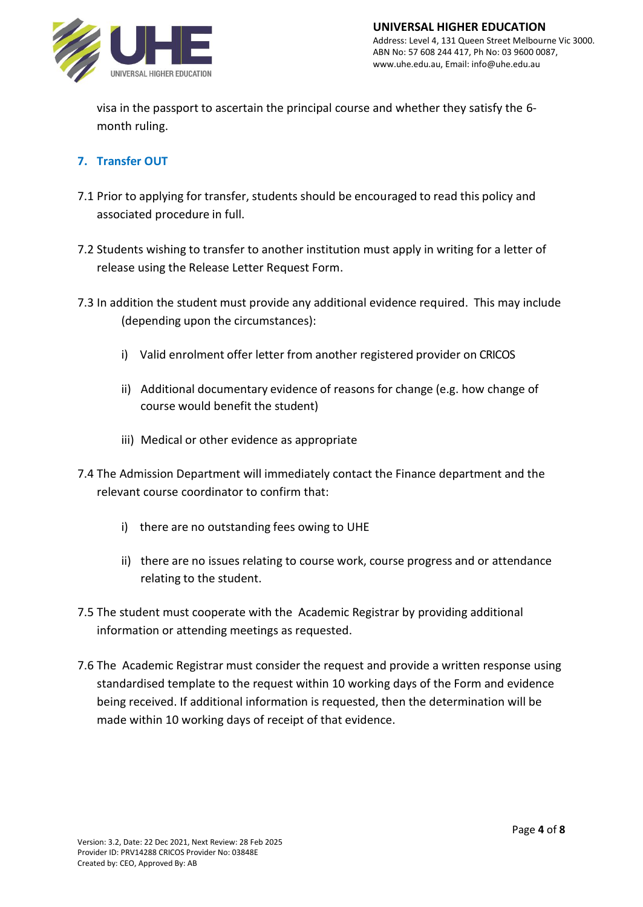

visa in the passport to ascertain the principal course and whether they satisfy the 6 month ruling.

# **7. Transfer OUT**

- 7.1 Prior to applying for transfer, students should be encouraged to read this policy and associated procedure in full.
- 7.2 Students wishing to transfer to another institution must apply in writing for a letter of release using the Release Letter Request Form.
- 7.3 In addition the student must provide any additional evidence required. This may include (depending upon the circumstances):
	- i) Valid enrolment offer letter from another registered provider on CRICOS
	- ii) Additional documentary evidence of reasons for change (e.g. how change of course would benefit the student)
	- iii) Medical or other evidence as appropriate
- 7.4 The Admission Department will immediately contact the Finance department and the relevant course coordinator to confirm that:
	- i) there are no outstanding fees owing to UHE
	- ii) there are no issues relating to course work, course progress and or attendance relating to the student.
- 7.5 The student must cooperate with the Academic Registrar by providing additional information or attending meetings as requested.
- 7.6 The Academic Registrar must consider the request and provide a written response using standardised template to the request within 10 working days of the Form and evidence being received. If additional information is requested, then the determination will be made within 10 working days of receipt of that evidence.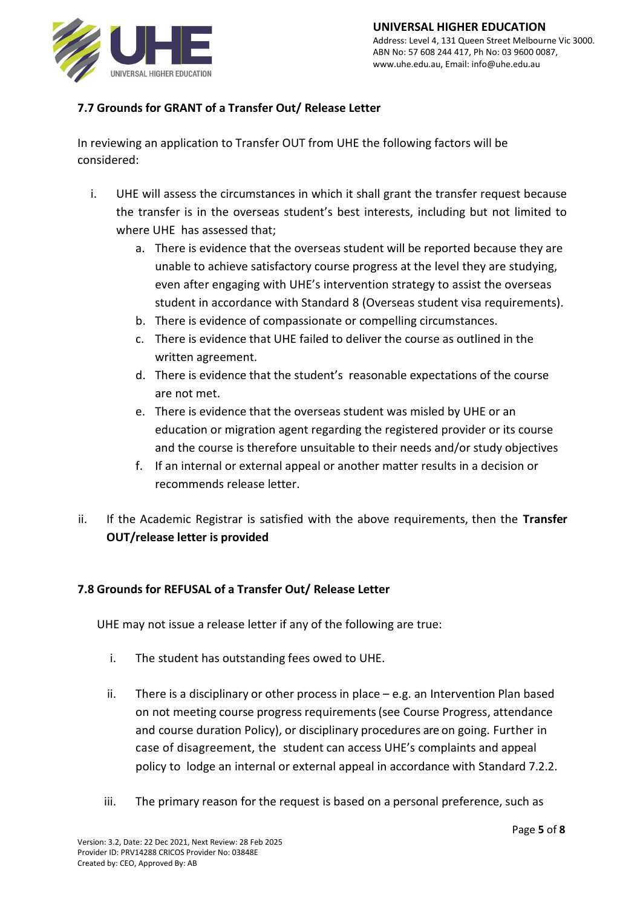

# **7.7 Grounds for GRANT of a Transfer Out/ Release Letter**

In reviewing an application to Transfer OUT from UHE the following factors will be considered:

- i. UHE will assess the circumstances in which it shall grant the transfer request because the transfer is in the overseas student's best interests, including but not limited to where UHE has assessed that;
	- a. There is evidence that the overseas student will be reported because they are unable to achieve satisfactory course progress at the level they are studying, even after engaging with UHE's intervention strategy to assist the overseas student in accordance with Standard 8 (Overseas student visa requirements).
	- b. There is evidence of compassionate or compelling circumstances.
	- c. There is evidence that UHE failed to deliver the course as outlined in the written agreement.
	- d. There is evidence that the student's reasonable expectations of the course are not met.
	- e. There is evidence that the overseas student was misled by UHE or an education or migration agent regarding the registered provider or its course and the course is therefore unsuitable to their needs and/or study objectives
	- f. If an internal or external appeal or another matter results in a decision or recommends release letter.
- ii. If the Academic Registrar is satisfied with the above requirements, then the **Transfer OUT/release letter is provided**

# **7.8 Grounds for REFUSAL of a Transfer Out/ Release Letter**

UHE may not issue a release letter if any of the following are true:

- i. The student has outstanding fees owed to UHE.
- ii. There is a disciplinary or other process in place  $-$  e.g. an Intervention Plan based on not meeting course progress requirements(see Course Progress, attendance and course duration Policy), or disciplinary procedures are on going. Further in case of disagreement, the student can access UHE's complaints and appeal policy to lodge an internal or external appeal in accordance with Standard 7.2.2.
- iii. The primary reason for the request is based on a personal preference, such as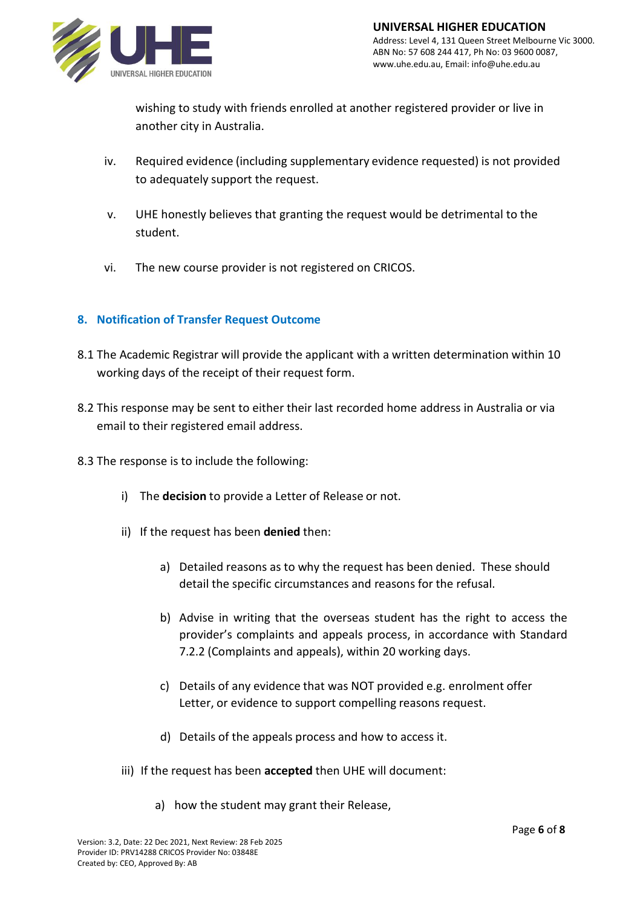

wishing to study with friends enrolled at another registered provider or live in another city in Australia.

- iv. Required evidence (including supplementary evidence requested) is not provided to adequately support the request.
- v. UHE honestly believes that granting the request would be detrimental to the student.
- vi. The new course provider is not registered on CRICOS.

# **8. Notification of Transfer Request Outcome**

- 8.1 The Academic Registrar will provide the applicant with a written determination within 10 working days of the receipt of their request form.
- 8.2 This response may be sent to either their last recorded home address in Australia or via email to their registered email address.
- 8.3 The response is to include the following:
	- i) The **decision** to provide a Letter of Release or not.
	- ii) If the request has been **denied** then:
		- a) Detailed reasons as to why the request has been denied. These should detail the specific circumstances and reasons for the refusal.
		- b) Advise in writing that the overseas student has the right to access the provider's complaints and appeals process, in accordance with Standard 7.2.2 (Complaints and appeals), within 20 working days.
		- c) Details of any evidence that was NOT provided e.g. enrolment offer Letter, or evidence to support compelling reasons request.
		- d) Details of the appeals process and how to access it.
	- iii) If the request has been **accepted** then UHE will document:
		- a) how the student may grant their Release,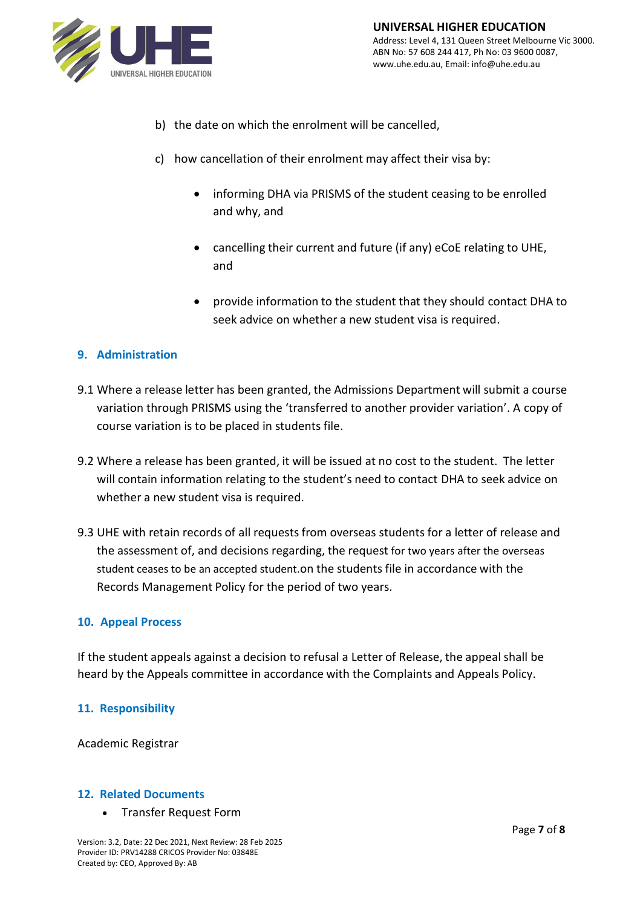

- b) the date on which the enrolment will be cancelled,
- c) how cancellation of their enrolment may affect their visa by:
	- informing DHA via PRISMS of the student ceasing to be enrolled and why, and
	- cancelling their current and future (if any) eCoE relating to UHE, and
	- provide information to the student that they should contact DHA to seek advice on whether a new student visa is required.

### **9. Administration**

- 9.1 Where a release letter has been granted, the Admissions Department will submit a course variation through PRISMS using the 'transferred to another provider variation'. A copy of course variation is to be placed in students file.
- 9.2 Where a release has been granted, it will be issued at no cost to the student. The letter will contain information relating to the student's need to contact DHA to seek advice on whether a new student visa is required.
- 9.3 UHE with retain records of all requests from overseas students for a letter of release and the assessment of, and decisions regarding, the request for two years after the overseas student ceases to be an accepted student.on the students file in accordance with the Records Management Policy for the period of two years.

#### **10. Appeal Process**

If the student appeals against a decision to refusal a Letter of Release, the appeal shall be heard by the Appeals committee in accordance with the Complaints and Appeals Policy.

#### **11. Responsibility**

Academic Registrar

#### **12. Related Documents**

• Transfer Request Form